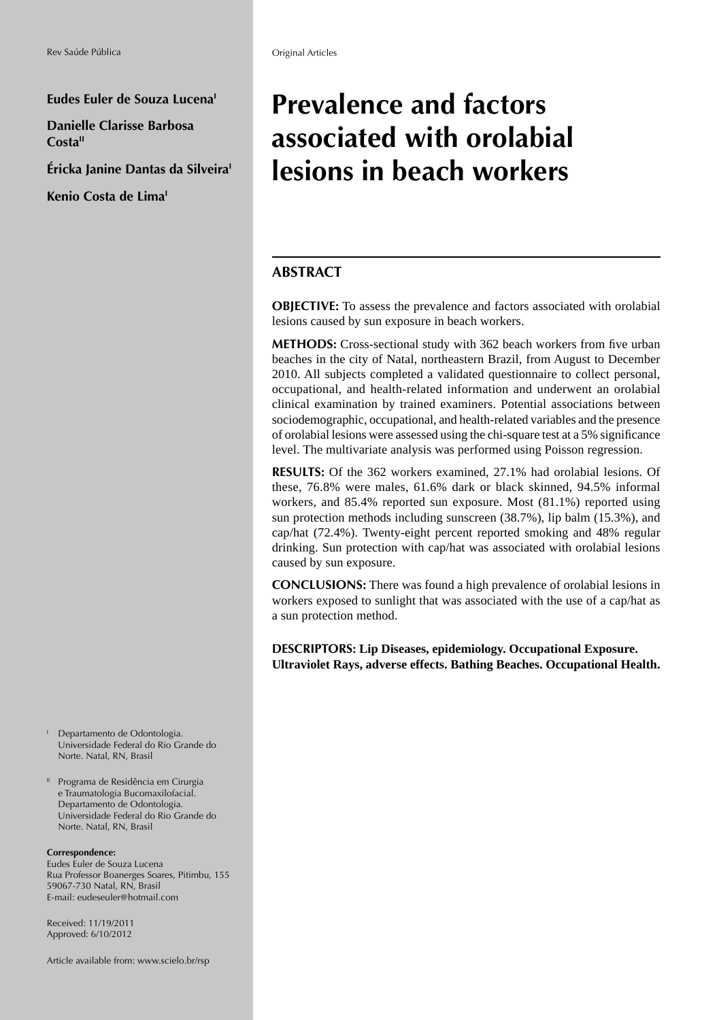Eudes Euler de Souza Lucena<sup>1</sup>

**Danielle Clarisse Barbosa**  Costa<sup>II</sup>

**Éricka Janine Dantas da Silveira** 

**Kenio Costa de LimaI**

 Departamento de Odontologia. Universidade Federal do Rio Grande do Norte. Natal, RN, Brasil

<sup>11</sup> Programa de Residência em Cirurgia e Traumatologia Bucomaxilofacial. Departamento de Odontologia. Universidade Federal do Rio Grande do Norte. Natal, RN, Brasil

#### **Correspondence:**

I

Eudes Euler de Souza Lucena Rua Professor Boanerges Soares, Pitimbu, 155 59067-730 Natal, RN, Brasil E-mail: eudeseuler@hotmail.com

Received: 11/19/2011 Approved: 6/10/2012

Article available from: www.scielo.br/rsp

# **Prevalence and factors associated with orolabial lesions in beach workers**

## **ABSTRACT**

**OBJECTIVE:** To assess the prevalence and factors associated with orolabial lesions caused by sun exposure in beach workers.

METHODS: Cross-sectional study with 362 beach workers from five urban beaches in the city of Natal, northeastern Brazil, from August to December 2010. All subjects completed a validated questionnaire to collect personal, occupational, and health-related information and underwent an orolabial clinical examination by trained examiners. Potential associations between sociodemographic, occupational, and health-related variables and the presence of orolabial lesions were assessed using the chi-square test at a 5% significance level. The multivariate analysis was performed using Poisson regression.

**RESULTS:** Of the 362 workers examined, 27.1% had orolabial lesions. Of these, 76.8% were males, 61.6% dark or black skinned, 94.5% informal workers, and 85.4% reported sun exposure. Most (81.1%) reported using sun protection methods including sunscreen (38.7%), lip balm (15.3%), and cap/hat (72.4%). Twenty-eight percent reported smoking and 48% regular drinking. Sun protection with cap/hat was associated with orolabial lesions caused by sun exposure.

**CONCLUSIONS:** There was found a high prevalence of orolabial lesions in workers exposed to sunlight that was associated with the use of a cap/hat as a sun protection method.

**DESCRIPTORS: Lip Diseases, epidemiology. Occupational Exposure. Ultraviolet Rays, adverse effects. Bathing Beaches. Occupational Health.**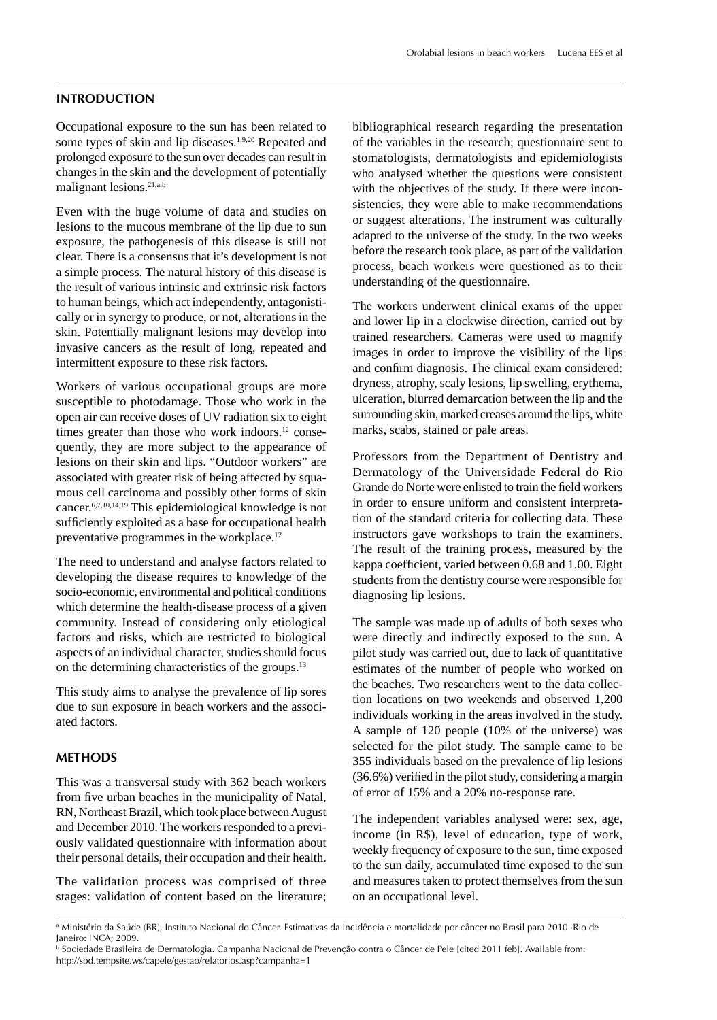#### **INTRODUCTION**

Occupational exposure to the sun has been related to some types of skin and lip diseases.<sup>1,9,20</sup> Repeated and prolonged exposure to the sun over decades can result in changes in the skin and the development of potentially malignant lesions.21,a,b

Even with the huge volume of data and studies on lesions to the mucous membrane of the lip due to sun exposure, the pathogenesis of this disease is still not clear. There is a consensus that it's development is not a simple process. The natural history of this disease is the result of various intrinsic and extrinsic risk factors to human beings, which act independently, antagonistically or in synergy to produce, or not, alterations in the skin. Potentially malignant lesions may develop into invasive cancers as the result of long, repeated and intermittent exposure to these risk factors.

Workers of various occupational groups are more susceptible to photodamage. Those who work in the open air can receive doses of UV radiation six to eight times greater than those who work indoors. $12$  consequently, they are more subject to the appearance of lesions on their skin and lips. "Outdoor workers" are associated with greater risk of being affected by squamous cell carcinoma and possibly other forms of skin cancer.6,7,10,14,19 This epidemiological knowledge is not sufficiently exploited as a base for occupational health preventative programmes in the workplace.<sup>12</sup>

The need to understand and analyse factors related to developing the disease requires to knowledge of the socio-economic, environmental and political conditions which determine the health-disease process of a given community. Instead of considering only etiological factors and risks, which are restricted to biological aspects of an individual character, studies should focus on the determining characteristics of the groups.13

This study aims to analyse the prevalence of lip sores due to sun exposure in beach workers and the associated factors.

### **METHODS**

This was a transversal study with 362 beach workers from five urban beaches in the municipality of Natal, RN, Northeast Brazil, which took place between August and December 2010. The workers responded to a previously validated questionnaire with information about their personal details, their occupation and their health.

The validation process was comprised of three stages: validation of content based on the literature; bibliographical research regarding the presentation of the variables in the research; questionnaire sent to stomatologists, dermatologists and epidemiologists who analysed whether the questions were consistent with the objectives of the study. If there were inconsistencies, they were able to make recommendations or suggest alterations. The instrument was culturally adapted to the universe of the study. In the two weeks before the research took place, as part of the validation process, beach workers were questioned as to their understanding of the questionnaire.

The workers underwent clinical exams of the upper and lower lip in a clockwise direction, carried out by trained researchers. Cameras were used to magnify images in order to improve the visibility of the lips and confirm diagnosis. The clinical exam considered: dryness, atrophy, scaly lesions, lip swelling, erythema, ulceration, blurred demarcation between the lip and the surrounding skin, marked creases around the lips, white marks, scabs, stained or pale areas.

Professors from the Department of Dentistry and Dermatology of the Universidade Federal do Rio Grande do Norte were enlisted to train the field workers in order to ensure uniform and consistent interpretation of the standard criteria for collecting data. These instructors gave workshops to train the examiners. The result of the training process, measured by the kappa coefficient, varied between 0.68 and 1.00. Eight students from the dentistry course were responsible for diagnosing lip lesions.

The sample was made up of adults of both sexes who were directly and indirectly exposed to the sun. A pilot study was carried out, due to lack of quantitative estimates of the number of people who worked on the beaches. Two researchers went to the data collection locations on two weekends and observed 1,200 individuals working in the areas involved in the study. A sample of 120 people (10% of the universe) was selected for the pilot study. The sample came to be 355 individuals based on the prevalence of lip lesions  $(36.6%)$  verified in the pilot study, considering a margin of error of 15% and a 20% no-response rate.

The independent variables analysed were: sex, age, income (in R\$), level of education, type of work, weekly frequency of exposure to the sun, time exposed to the sun daily, accumulated time exposed to the sun and measures taken to protect themselves from the sun on an occupational level.

a Ministério da Saúde (BR), Instituto Nacional do Câncer. Estimativas da incidência e mortalidade por câncer no Brasil para 2010. Rio de Janeiro: INCA; 2009.

b Sociedade Brasileira de Dermatologia. Campanha Nacional de Prevenção contra o Câncer de Pele [cited 2011 feb]. Available from: http://sbd.tempsite.ws/capele/gestao/relatorios.asp?campanha=1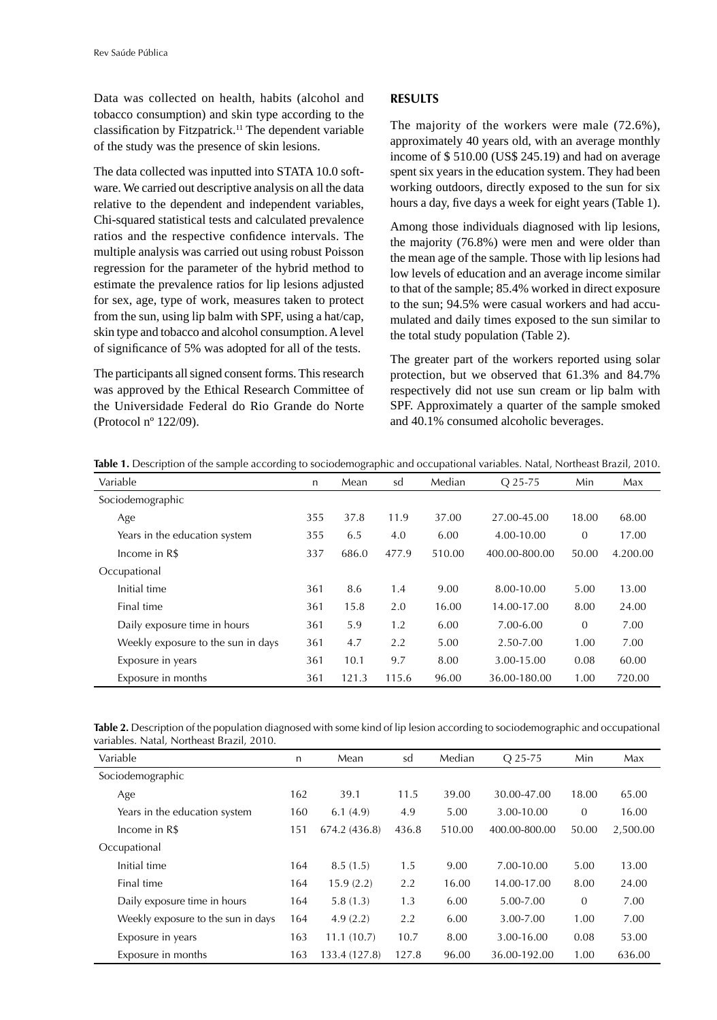Data was collected on health, habits (alcohol and tobacco consumption) and skin type according to the classification by Fitzpatrick.<sup>11</sup> The dependent variable of the study was the presence of skin lesions.

The data collected was inputted into STATA 10.0 software. We carried out descriptive analysis on all the data relative to the dependent and independent variables, Chi-squared statistical tests and calculated prevalence ratios and the respective confidence intervals. The multiple analysis was carried out using robust Poisson regression for the parameter of the hybrid method to estimate the prevalence ratios for lip lesions adjusted for sex, age, type of work, measures taken to protect from the sun, using lip balm with SPF, using a hat/cap, skin type and tobacco and alcohol consumption. A level of significance of 5% was adopted for all of the tests.

The participants all signed consent forms. This research was approved by the Ethical Research Committee of the Universidade Federal do Rio Grande do Norte (Protocol nº 122/09).

#### **RESULTS**

The majority of the workers were male (72.6%), approximately 40 years old, with an average monthly income of \$ 510.00 (US\$ 245.19) and had on average spent six years in the education system. They had been working outdoors, directly exposed to the sun for six hours a day, five days a week for eight years (Table 1).

Among those individuals diagnosed with lip lesions, the majority (76.8%) were men and were older than the mean age of the sample. Those with lip lesions had low levels of education and an average income similar to that of the sample; 85.4% worked in direct exposure to the sun; 94.5% were casual workers and had accumulated and daily times exposed to the sun similar to the total study population (Table 2).

The greater part of the workers reported using solar protection, but we observed that 61.3% and 84.7% respectively did not use sun cream or lip balm with SPF. Approximately a quarter of the sample smoked and 40.1% consumed alcoholic beverages.

| <b>Table 1.</b> Description of the sample according to sociodemographic and occupational variables. Natal, Northeast Brazil, 2010. |              |       |       |        |                |          |          |
|------------------------------------------------------------------------------------------------------------------------------------|--------------|-------|-------|--------|----------------|----------|----------|
| Variable                                                                                                                           | $\mathsf{n}$ | Mean  | sd    | Median | $O$ 25-75      | Min      | Max      |
| Sociodemographic                                                                                                                   |              |       |       |        |                |          |          |
| Age                                                                                                                                | 355          | 37.8  | 11.9  | 37.00  | 27.00-45.00    | 18.00    | 68.00    |
| Years in the education system                                                                                                      | 355          | 6.5   | 4.0   | 6.00   | $4.00 - 10.00$ | $\Omega$ | 17.00    |
| Income in R\$                                                                                                                      | 337          | 686.0 | 477.9 | 510.00 | 400.00-800.00  | 50.00    | 4.200.00 |
| Occupational                                                                                                                       |              |       |       |        |                |          |          |
| Initial time                                                                                                                       | 361          | 8.6   | 1.4   | 9.00   | 8.00-10.00     | 5.00     | 13.00    |
| Final time                                                                                                                         | 361          | 15.8  | 2.0   | 16.00  | 14.00-17.00    | 8.00     | 24.00    |
| Daily exposure time in hours                                                                                                       | 361          | 5.9   | 1.2   | 6.00   | $7.00 - 6.00$  | $\Omega$ | 7.00     |
| Weekly exposure to the sun in days                                                                                                 | 361          | 4.7   | 2.2   | 5.00   | 2.50-7.00      | 1.00     | 7.00     |
| Exposure in years                                                                                                                  | 361          | 10.1  | 9.7   | 8.00   | 3.00-15.00     | 0.08     | 60.00    |
|                                                                                                                                    |              |       |       |        |                |          |          |

**Table 2.** Description of the population diagnosed with some kind of lip lesion according to sociodemographic and occupational variables. Natal, Northeast Brazil, 2010.

Exposure in months 361 121.3 115.6 96.00 36.00-180.00 1.00 720.00

| Variable                           | n   | Mean          | sd    | Median | O 25-75       | Min      | Max      |  |
|------------------------------------|-----|---------------|-------|--------|---------------|----------|----------|--|
| Sociodemographic                   |     |               |       |        |               |          |          |  |
| Age                                | 162 | 39.1          | 11.5  | 39.00  | 30.00-47.00   | 18.00    | 65.00    |  |
| Years in the education system      | 160 | 6.1(4.9)      | 4.9   | 5.00   | 3.00-10.00    | $\theta$ | 16.00    |  |
| Income in R\$                      | 151 | 674.2 (436.8) | 436.8 | 510.00 | 400.00-800.00 | 50.00    | 2,500.00 |  |
| Occupational                       |     |               |       |        |               |          |          |  |
| Initial time                       | 164 | 8.5(1.5)      | 1.5   | 9.00   | 7.00-10.00    | 5.00     | 13.00    |  |
| Final time                         | 164 | 15.9(2.2)     | 2.2   | 16.00  | 14.00-17.00   | 8.00     | 24.00    |  |
| Daily exposure time in hours       | 164 | 5.8(1.3)      | 1.3   | 6.00   | 5.00-7.00     | $\theta$ | 7.00     |  |
| Weekly exposure to the sun in days | 164 | 4.9(2.2)      | 2.2   | 6.00   | 3.00-7.00     | 1.00     | 7.00     |  |
| Exposure in years                  | 163 | 11.1(10.7)    | 10.7  | 8.00   | 3.00-16.00    | 0.08     | 53.00    |  |
| Exposure in months                 | 163 | 133.4 (127.8) | 127.8 | 96.00  | 36.00-192.00  | 1.00     | 636.00   |  |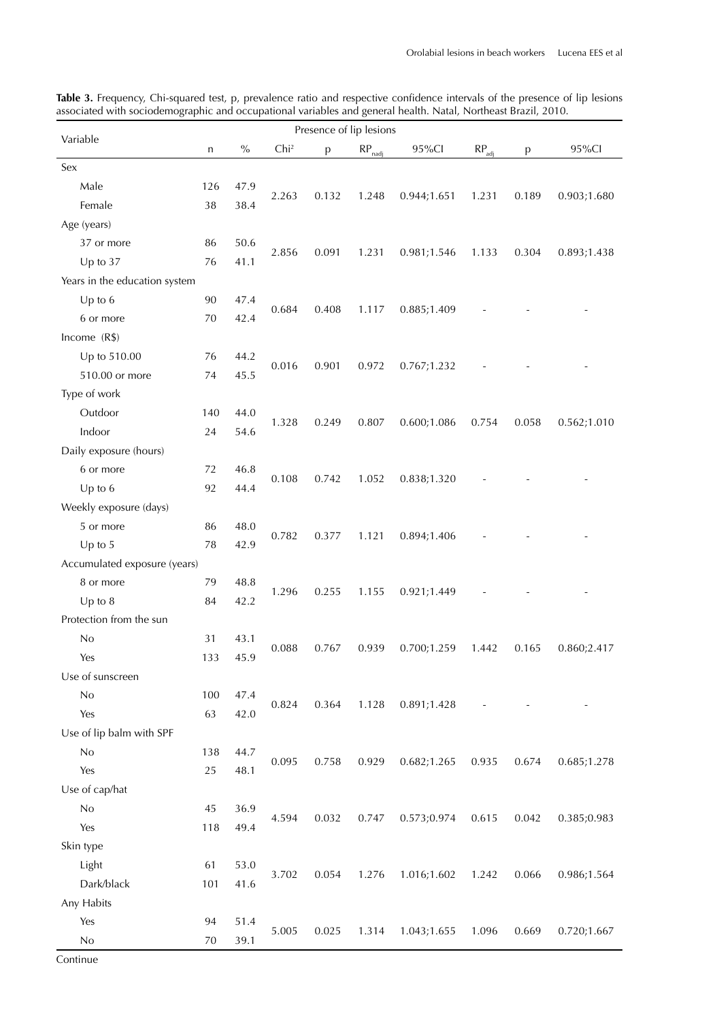| Presence of lip lesions       |     |      |                  |       |                    |              |                   |       |             |
|-------------------------------|-----|------|------------------|-------|--------------------|--------------|-------------------|-------|-------------|
| Variable                      | n   | $\%$ | Chi <sup>2</sup> | p     | $RP_{\text{nadi}}$ | 95%Cl        | $RP_{\text{adj}}$ | p     | 95%Cl       |
| Sex                           |     |      |                  |       |                    |              |                   |       |             |
| Male                          | 126 | 47.9 |                  |       |                    |              |                   |       |             |
| Female                        | 38  | 38.4 | 2.263            | 0.132 | 1.248              | 0.944;1.651  | 1.231             | 0.189 | 0.903;1.680 |
| Age (years)                   |     |      |                  |       |                    |              |                   |       |             |
| 37 or more                    | 86  | 50.6 |                  |       |                    |              |                   |       |             |
| Up to 37                      | 76  | 41.1 | 2.856            | 0.091 | 1.231              | 0.981;1.546  | 1.133             | 0.304 | 0.893;1.438 |
| Years in the education system |     |      |                  |       |                    |              |                   |       |             |
| Up to $6$                     | 90  | 47.4 |                  |       |                    |              |                   |       |             |
| 6 or more                     | 70  | 42.4 | 0.684            | 0.408 | 1.117              | 0.885;1.409  |                   |       |             |
| Income (R\$)                  |     |      |                  |       |                    |              |                   |       |             |
| Up to 510.00                  | 76  | 44.2 |                  |       |                    |              |                   |       |             |
| 510.00 or more                | 74  | 45.5 | 0.016            | 0.901 | 0.972              | 0.767;1.232  |                   |       |             |
| Type of work                  |     |      |                  |       |                    |              |                   |       |             |
| Outdoor                       | 140 | 44.0 |                  |       |                    |              |                   |       |             |
| Indoor                        | 24  | 54.6 | 1.328            | 0.249 | 0.807              | 0.600;1.086  | 0.754             | 0.058 | 0.562;1.010 |
| Daily exposure (hours)        |     |      |                  |       |                    |              |                   |       |             |
| 6 or more                     | 72  | 46.8 |                  |       |                    |              |                   |       |             |
| Up to $6$                     | 92  | 44.4 | 0.108            | 0.742 | 1.052              | 0.838;1.320  |                   |       |             |
| Weekly exposure (days)        |     |      |                  |       |                    |              |                   |       |             |
| 5 or more                     | 86  | 48.0 |                  |       |                    |              |                   |       |             |
| Up to $5$                     | 78  | 42.9 | 0.782            | 0.377 | 1.121              | 0.894;1.406  |                   |       |             |
| Accumulated exposure (years)  |     |      |                  |       |                    |              |                   |       |             |
| 8 or more                     | 79  | 48.8 |                  |       |                    |              |                   |       |             |
| $Up$ to $8$                   | 84  | 42.2 | 1.296            | 0.255 | 1.155              | 0.921;1.449  |                   |       |             |
| Protection from the sun       |     |      |                  |       |                    |              |                   |       |             |
| No                            | 31  | 43.1 |                  |       |                    |              |                   |       |             |
| Yes                           | 133 | 45.9 | 0.088            | 0.767 | 0.939              | 0.700;1.259  | 1.442             | 0.165 | 0.860;2.417 |
| Use of sunscreen              |     |      |                  |       |                    |              |                   |       |             |
| No                            | 100 | 47.4 |                  |       |                    |              |                   |       |             |
| Yes                           | 63  | 42.0 | 0.824            | 0.364 | 1.128              | 0.891;1.428  |                   |       |             |
| Use of lip balm with SPF      |     |      |                  |       |                    |              |                   |       |             |
| No                            | 138 | 44.7 |                  |       |                    |              |                   |       |             |
| Yes                           | 25  | 48.1 | 0.095            | 0.758 | 0.929              | 0.682; 1.265 | 0.935             | 0.674 | 0.685;1.278 |
| Use of cap/hat                |     |      |                  |       |                    |              |                   |       |             |
| No                            | 45  | 36.9 |                  |       |                    |              |                   |       |             |
| Yes                           | 118 | 49.4 | 4.594            | 0.032 | 0.747              | 0.573;0.974  | 0.615             | 0.042 | 0.385;0.983 |
| Skin type                     |     |      |                  |       |                    |              |                   |       |             |
| Light                         | 61  | 53.0 |                  |       |                    |              |                   |       |             |
| Dark/black                    | 101 | 41.6 | 3.702            | 0.054 | 1.276              | 1.016;1.602  | 1.242             | 0.066 | 0.986;1.564 |
| Any Habits                    |     |      |                  |       |                    |              |                   |       |             |
| Yes                           | 94  | 51.4 |                  |       |                    |              |                   |       |             |
|                               |     |      | 5.005            | 0.025 | 1.314              | 1.043;1.655  | 1.096             | 0.669 | 0.720;1.667 |
| No                            | 70  | 39.1 |                  |       |                    |              |                   |       |             |

**Table 3.** Frequency, Chi-squared test, p, prevalence ratio and respective confidence intervals of the presence of lip lesions associated with sociodemographic and occupational variables and general health. Natal, Northeast Brazil, 2010.

Continue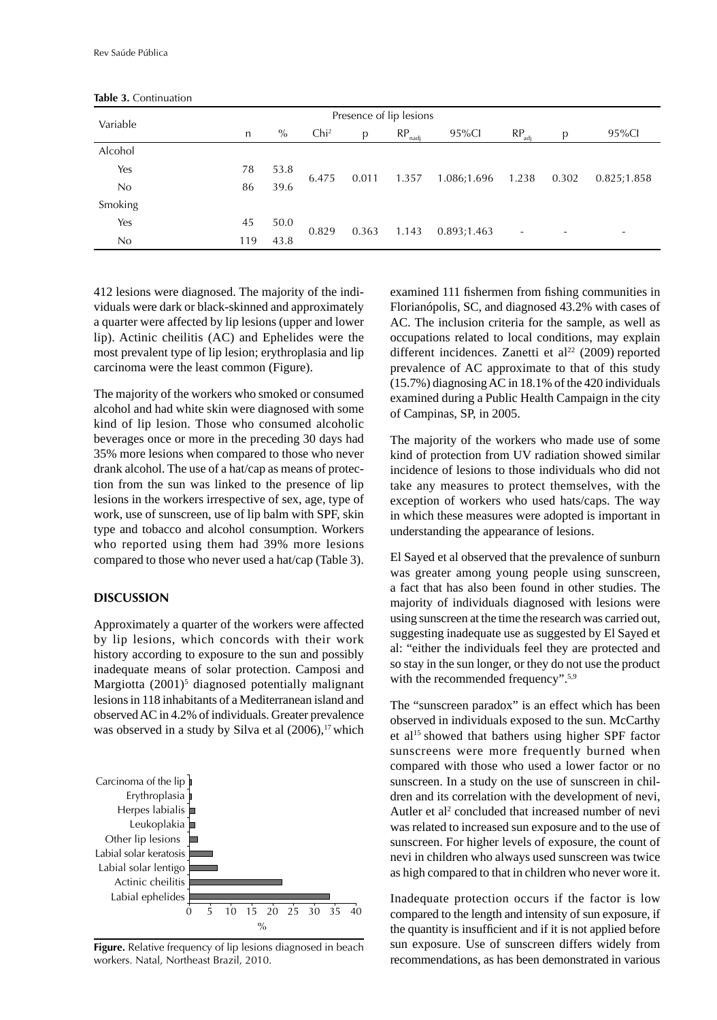|          |     |      | Presence of lip lesions |       |             |             |                   |       |             |
|----------|-----|------|-------------------------|-------|-------------|-------------|-------------------|-------|-------------|
| Variable | n   | $\%$ | Chi <sup>2</sup>        | p     | RP.<br>nadi | 95%Cl       | $RP_{\text{adj}}$ | р     | 95%Cl       |
| Alcohol  |     |      |                         |       |             |             |                   |       |             |
| Yes      | 78  | 53.8 |                         | 0.011 | 1.357       | 1.086;1.696 | 1.238             | 0.302 | 0.825;1.858 |
| No       | 86  | 39.6 | 6.475                   |       |             |             |                   |       |             |
| Smoking  |     |      |                         |       |             |             |                   |       |             |
| Yes      | 45  | 50.0 |                         |       |             |             |                   |       |             |
| No.      | 119 | 43.8 | 0.829                   | 0.363 | 1.143       | 0.893;1.463 | ٠                 |       |             |

**Table 3.** Continuation

412 lesions were diagnosed. The majority of the individuals were dark or black-skinned and approximately a quarter were affected by lip lesions (upper and lower lip). Actinic cheilitis (AC) and Ephelides were the most prevalent type of lip lesion; erythroplasia and lip carcinoma were the least common (Figure).

The majority of the workers who smoked or consumed alcohol and had white skin were diagnosed with some kind of lip lesion. Those who consumed alcoholic beverages once or more in the preceding 30 days had 35% more lesions when compared to those who never drank alcohol. The use of a hat/cap as means of protection from the sun was linked to the presence of lip lesions in the workers irrespective of sex, age, type of work, use of sunscreen, use of lip balm with SPF, skin type and tobacco and alcohol consumption. Workers who reported using them had 39% more lesions compared to those who never used a hat/cap (Table 3).

#### **DISCUSSION**

Approximately a quarter of the workers were affected by lip lesions, which concords with their work history according to exposure to the sun and possibly inadequate means of solar protection. Camposi and Margiotta (2001)<sup>5</sup> diagnosed potentially malignant lesions in 118 inhabitants of a Mediterranean island and observed AC in 4.2% of individuals. Greater prevalence was observed in a study by Silva et al  $(2006)$ ,<sup>17</sup> which



**Figure.** Relative frequency of lip lesions diagnosed in beach workers. Natal, Northeast Brazil, 2010.

examined 111 fishermen from fishing communities in Florianópolis, SC, and diagnosed 43.2% with cases of AC. The inclusion criteria for the sample, as well as occupations related to local conditions, may explain different incidences. Zanetti et al<sup>22</sup> (2009) reported prevalence of AC approximate to that of this study (15.7%) diagnosing AC in 18.1% of the 420 individuals examined during a Public Health Campaign in the city of Campinas, SP, in 2005.

The majority of the workers who made use of some kind of protection from UV radiation showed similar incidence of lesions to those individuals who did not take any measures to protect themselves, with the exception of workers who used hats/caps. The way in which these measures were adopted is important in understanding the appearance of lesions.

El Sayed et al observed that the prevalence of sunburn was greater among young people using sunscreen, a fact that has also been found in other studies. The majority of individuals diagnosed with lesions were using sunscreen at the time the research was carried out, suggesting inadequate use as suggested by El Sayed et al: "either the individuals feel they are protected and so stay in the sun longer, or they do not use the product with the recommended frequency".<sup>5,9</sup>

The "sunscreen paradox" is an effect which has been observed in individuals exposed to the sun. McCarthy et al15 showed that bathers using higher SPF factor sunscreens were more frequently burned when compared with those who used a lower factor or no sunscreen. In a study on the use of sunscreen in children and its correlation with the development of nevi, Autler et al<sup>2</sup> concluded that increased number of nevi was related to increased sun exposure and to the use of sunscreen. For higher levels of exposure, the count of nevi in children who always used sunscreen was twice as high compared to that in children who never wore it.

Inadequate protection occurs if the factor is low compared to the length and intensity of sun exposure, if the quantity is insufficient and if it is not applied before sun exposure. Use of sunscreen differs widely from recommendations, as has been demonstrated in various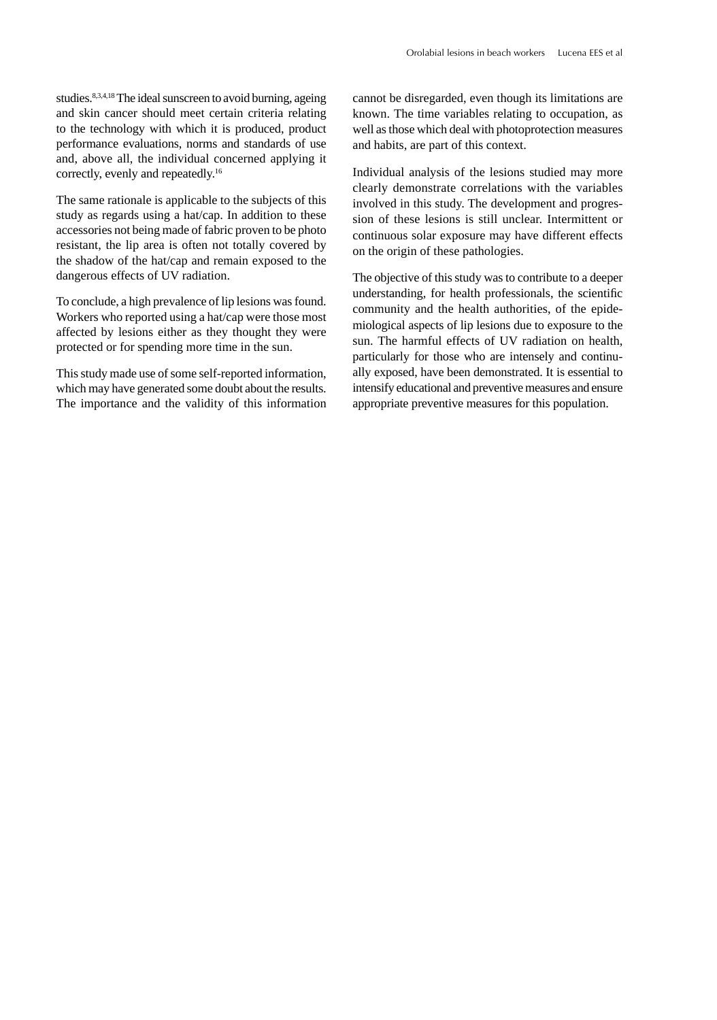studies.<sup>8,3,4,18</sup> The ideal sunscreen to avoid burning, ageing and skin cancer should meet certain criteria relating to the technology with which it is produced, product performance evaluations, norms and standards of use and, above all, the individual concerned applying it correctly, evenly and repeatedly.16

The same rationale is applicable to the subjects of this study as regards using a hat/cap. In addition to these accessories not being made of fabric proven to be photo resistant, the lip area is often not totally covered by the shadow of the hat/cap and remain exposed to the dangerous effects of UV radiation.

To conclude, a high prevalence of lip lesions was found. Workers who reported using a hat/cap were those most affected by lesions either as they thought they were protected or for spending more time in the sun.

This study made use of some self-reported information, which may have generated some doubt about the results. The importance and the validity of this information

cannot be disregarded, even though its limitations are known. The time variables relating to occupation, as well as those which deal with photoprotection measures and habits, are part of this context.

Individual analysis of the lesions studied may more clearly demonstrate correlations with the variables involved in this study. The development and progression of these lesions is still unclear. Intermittent or continuous solar exposure may have different effects on the origin of these pathologies.

The objective of this study was to contribute to a deeper understanding, for health professionals, the scientific community and the health authorities, of the epidemiological aspects of lip lesions due to exposure to the sun. The harmful effects of UV radiation on health, particularly for those who are intensely and continually exposed, have been demonstrated. It is essential to intensify educational and preventive measures and ensure appropriate preventive measures for this population.